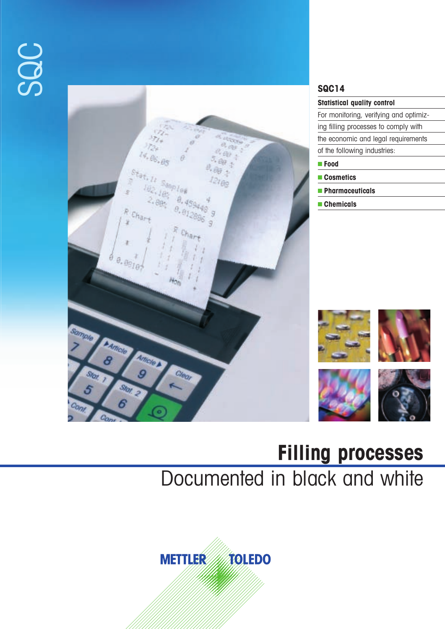



# **Filling processes** Documented in black and white

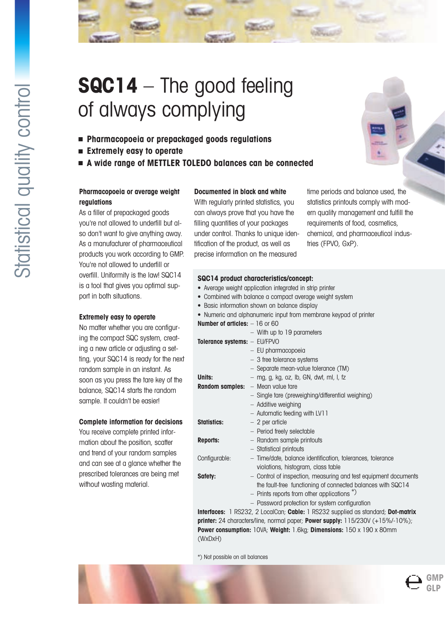# **SQC14** – The good feeling of always complying

- **Pharmacopoeia or prepackaged goods regulations**
- **Extremely easy to operate**
- **A wide range of METTLER TOLEDO balances can be connected**

# **Pharmacopoeia or average weight regulations**

As a filler of prepackaged goods you're not allowed to underfill but also don't want to give anything away. As a manufacturer of pharmaceutical products you work according to GMP. You're not allowed to underfill or overfill. Uniformity is the law! SQC14 is a tool that gives you optimal support in both situations.

## **Extremely easy to operate**

No matter whether you are configuring the compact SQC system, creating a new article or adjusting a setting, your SQC14 is ready for the next random sample in an instant. As soon as you press the tare key of the balance, SQC14 starts the random sample. It couldn't be easier!

### **Complete information for decisions**

You receive complete printed information about the position, scatter and trend of your random samples and can see at a glance whether the prescribed tolerances are being met without wasting material.

# **Documented in black and white**

With regularly printed statistics, you can always prove that you have the filling quantities of your packages under control. Thanks to unique identification of the product, as well as precise information on the measured

time periods and balance used, the statistics printouts comply with modern quality management and fulfill the requirements of food, cosmetics, chemical, and pharmaceutical industries (FPVO, GxP).

| SQC14 product characteristics/concept:                                           |
|----------------------------------------------------------------------------------|
| • Average weight application integrated in strip printer                         |
| • Combined with balance a compact average weight system                          |
| • Basic information shown on balance display                                     |
| • Numeric and alphanumeric input from membrane keypad of printer                 |
| Number of articles: $-16$ or 60                                                  |
| - With up to 19 parameters                                                       |
| Tolerance systems: - EU/FPVO                                                     |
| - EU pharmacopoeia                                                               |
| - 3 free tolerance systems                                                       |
| - Separate mean-value tolerance (TM)                                             |
| Units:<br>- mg, g, kg, oz, lb, GN, dwt, ml, l, fz                                |
| - Mean value tare<br><b>Random samples:</b>                                      |
| - Single tare (preweighing/differential weighing)                                |
| - Additive weighing                                                              |
| - Automatic feeding with LV11                                                    |
| $-2$ per article<br><b>Statistics:</b>                                           |
| - Period freely selectable                                                       |
| - Random sample printouts<br><b>Reports:</b>                                     |
| - Statistical printouts                                                          |
|                                                                                  |
| Configurable:<br>- Time/date, balance identification, tolerances, tolerance      |
| violations, histogram, class table                                               |
| - Control of inspection, measuring and test equipment documents<br>Safety:       |
| the fault-free functioning of connected balances with SQC14                      |
| $-$ Prints reports from other applications $\overline{a}$ )                      |
| - Password protection for system configuration                                   |
| Interfaces: 1 RS232, 2 LocalCan; Cable: 1 RS232 supplied as standard; Dot-matrix |
| printer: 24 characters/line, normal paper; Power supply: 115/230V (+15%/-10%);   |
| Power consumption: 10VA; Weight: 1.6kg; Dimensions: 150 x 190 x 80mm             |

\*) Not possible on all balances

(WxDxH)



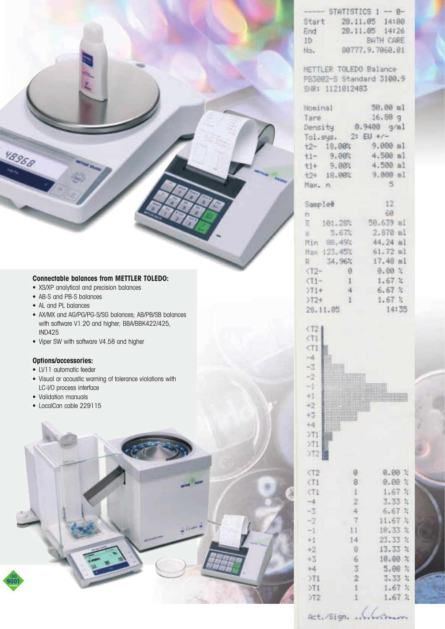|       | $-$ STATISTICS 1 $-$ 0- |           |
|-------|-------------------------|-----------|
| Start | 28.11.05                | 14188     |
| End   | 28.11.05 14:26          |           |
| ID    |                         | BATH CARE |
| No.   | 80777.9.7060.01         |           |

METTLER TOLEDO Balance PB3002-S Standard 3100.9 SNR: 1121012483

| Nominal | 50.00 ml            |
|---------|---------------------|
| Tare    | $16.80g$ .          |
|         | Density 0.9408 g/ml |
|         | Tol.sys. 2: EU +/-  |
|         | t2- 18.00% 9.000 ml |
|         | t1- 9.00% 4.508 ml  |
|         | t1+ 9.00% 4.500 ml  |
|         | t2+ 18.00% 9.000 ml |
| Hax. n  | 5                   |
| Sample# | $12 -$              |
| n       | 60                  |

|                 |               | X 101.28% 50.639 ml |  |
|-----------------|---------------|---------------------|--|
| 5.67%           |               | 2.870 ml            |  |
| Min 88.49%      |               | 44.24 ml            |  |
| Max 123.45%     |               | $61.72$ ml          |  |
|                 |               | R 34.96% 17.48 ml   |  |
| $\sqrt{12} - 8$ |               | 0.00%               |  |
| $(71 - 1)$      |               | 1.67%               |  |
| $>71+$          | 4             | 6.67 <sub>3</sub>   |  |
| $>72+$          | $\frac{1}{1}$ | 1.67%               |  |
| 29 11 05        |               | 14:35               |  |



| $st.$ Sign, $str.$ |  |  |
|--------------------|--|--|
|                    |  |  |

1

 $>11$ 

 $>12$ 

 $1.67%$ 

 $1.67.2$ 

# **Connectable balances from METTLER TOLEDO:**

- XS/XP analytical and precision balances
- AB-S and PB-S balances
- AL and PL balances

48968

- AX/MX and AG/PG/PG-S/SG balances; AB/PB/SB balances with software V1.20 and higher; BBA/BBK422/425, IND425
- Viper SW with software V4.58 and higher

# **Options/accessories:**

- LV11 automatic feeder
- Visual or acoustic warning of tolerance violations with LC-I/O process interface
- Validation manuals
- LocalCan cable 229115